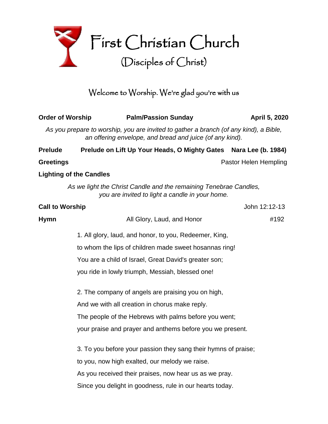

# Welcome to Worship. We're glad you're with us

| <b>Order of Worship</b> |                                                                | <b>Palm/Passion Sunday</b>                                                                                                                        | April 5, 2020         |  |  |
|-------------------------|----------------------------------------------------------------|---------------------------------------------------------------------------------------------------------------------------------------------------|-----------------------|--|--|
|                         |                                                                | As you prepare to worship, you are invited to gather a branch (of any kind), a Bible,<br>an offering envelope, and bread and juice (of any kind). |                       |  |  |
| <b>Prelude</b>          |                                                                | Prelude on Lift Up Your Heads, O Mighty Gates Nara Lee (b. 1984)                                                                                  |                       |  |  |
| <b>Greetings</b>        |                                                                |                                                                                                                                                   | Pastor Helen Hempling |  |  |
|                         | <b>Lighting of the Candles</b>                                 |                                                                                                                                                   |                       |  |  |
|                         |                                                                | As we light the Christ Candle and the remaining Tenebrae Candles,<br>you are invited to light a candle in your home.                              |                       |  |  |
| <b>Call to Worship</b>  |                                                                |                                                                                                                                                   | John 12:12-13         |  |  |
| <b>Hymn</b>             |                                                                | All Glory, Laud, and Honor                                                                                                                        | #192                  |  |  |
|                         |                                                                | 1. All glory, laud, and honor, to you, Redeemer, King,                                                                                            |                       |  |  |
|                         | to whom the lips of children made sweet hosannas ring!         |                                                                                                                                                   |                       |  |  |
|                         |                                                                | You are a child of Israel, Great David's greater son;                                                                                             |                       |  |  |
|                         |                                                                | you ride in lowly triumph, Messiah, blessed one!                                                                                                  |                       |  |  |
|                         |                                                                | 2. The company of angels are praising you on high,                                                                                                |                       |  |  |
|                         |                                                                | And we with all creation in chorus make reply.                                                                                                    |                       |  |  |
|                         |                                                                | The people of the Hebrews with palms before you went;                                                                                             |                       |  |  |
|                         |                                                                | your praise and prayer and anthems before you we present.                                                                                         |                       |  |  |
|                         | 3. To you before your passion they sang their hymns of praise; |                                                                                                                                                   |                       |  |  |
|                         |                                                                | to you, now high exalted, our melody we raise.                                                                                                    |                       |  |  |
|                         |                                                                | As you received their praises, now hear us as we pray.                                                                                            |                       |  |  |
|                         |                                                                | Since you delight in goodness, rule in our hearts today.                                                                                          |                       |  |  |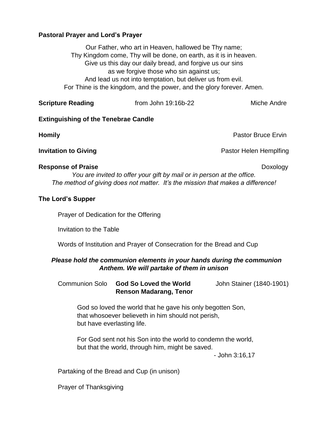# **Pastoral Prayer and Lord's Prayer**

Our Father, who art in Heaven, hallowed be Thy name; Thy Kingdom come, Thy will be done, on earth, as it is in heaven. Give us this day our daily bread, and forgive us our sins as we forgive those who sin against us; And lead us not into temptation, but deliver us from evil. For Thine is the kingdom, and the power, and the glory forever. Amen.

| <b>Scripture Reading</b> | from John 19:16b-22 | Miche Andre |
|--------------------------|---------------------|-------------|
|--------------------------|---------------------|-------------|

# **Extinguishing of the Tenebrae Candle**

**Homily Pastor Bruce Ervin** 

**Invitation to Giving Pastor Helen Hemplfing** 

### **Response of Praise Doxology Doxology Doxology**

*You are invited to offer your gift by mail or in person at the office. The method of giving does not matter. It's the mission that makes a difference!*

# **The Lord's Supper**

Prayer of Dedication for the Offering

Invitation to the Table

Words of Institution and Prayer of Consecration for the Bread and Cup

# *Please hold the communion elements in your hands during the communion Anthem. We will partake of them in unison*

Communion Solo **God So Loved the World** John Stainer (1840-1901) **Renson Madarang, Tenor**

God so loved the world that he gave his only begotten Son, that whosoever believeth in him should not perish, but have everlasting life.

For God sent not his Son into the world to condemn the world, but that the world, through him, might be saved.

- John 3:16,17

Partaking of the Bread and Cup (in unison)

Prayer of Thanksgiving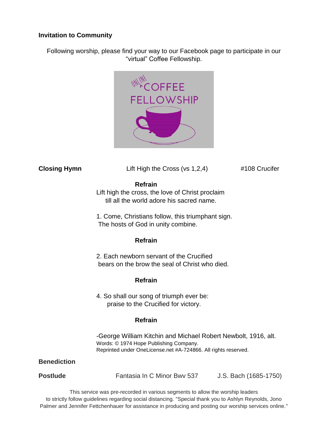# **Invitation to Community**

Following worship, please find your way to our Facebook page to participate in our "virtual" Coffee Fellowship.



**Closing Hymn** Lift High the Cross (vs 1,2,4) #108 Crucifer

#### **Refrain**

Lift high the cross, the love of Christ proclaim till all the world adore his sacred name.

1. Come, Christians follow, this triumphant sign. The hosts of God in unity combine.

#### **Refrain**

2. Each newborn servant of the Crucified bears on the brow the seal of Christ who died.

# **Refrain**

4. So shall our song of triumph ever be: praise to the Crucified for victory.

# **Refrain**

-George William Kitchin and Michael Robert Newbolt, 1916, alt. Words: © 1974 Hope Publishing Company. Reprinted under OneLicense.net #A-724866. All rights reserved.

# **Benediction**

**Postlude** Fantasia In C Minor Bwv 537 J.S. Bach (1685-1750)

This service was pre-recorded in various segments to allow the worship leaders to strictly follow guidelines regarding social distancing. "Special thank you to Ashlyn Reynolds, Jono Palmer and Jennifer Fettchenhauer for assistance in producing and posting our worship services online."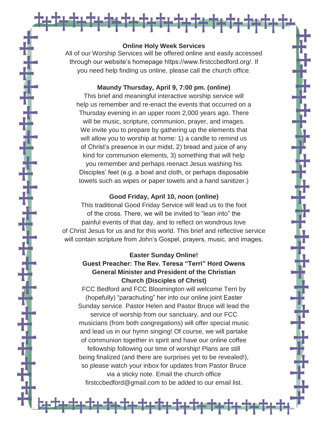#### **Online Holy Week Services**

<del>₩\$¥\$¥\$¥\$¥\$¥\$¥\$¥\$¥\$¥\$</del>

All of our Worship Services will be offered online and easily accessed through our website's homepage https://www.firstccbedford.org/. If you need help finding us online, please call the church office.

### **Maundy Thursday, April 9, 7:00 pm. (online)**

This brief and meaningful interactive worship service will help us remember and re-enact the events that occurred on a Thursday evening in an upper room 2,000 years ago. There will be music, scripture, communion, prayer, and images. We invite you to prepare by gathering up the elements that will allow you to worship at home: 1) a candle to remind us of Christ's presence in our midst, 2) bread and juice of any kind for communion elements, 3) something that will help you remember and perhaps reenact Jesus washing his Disciples' feet (e.g. a bowl and cloth, or perhaps disposable towels such as wipes or paper towels and a hand sanitizer.)

#### **Good Friday, April 10, noon (online)**

This traditional Good Friday Service will lead us to the foot of the cross. There, we will be invited to "lean into" the painful events of that day, and to reflect on wondrous love of Christ Jesus for us and for this world. This brief and reflective service will contain scripture from John's Gospel, prayers, music, and images.

#### **Easter Sunday Online!**

# **Guest Preacher: The Rev. Teresa "Terri" Hord Owens General Minister and President of the Christian Church (Disciples of Christ)**

FCC Bedford and FCC Bloomington will welcome Terri by (hopefully) "parachuting" her into our online joint Easter Sunday service. Pastor Helen and Pastor Bruce will lead the service of worship from our sanctuary, and our FCC musicians (from both congregations) will offer special music and lead us in our hymn singing! Of course, we will partake of communion together in spirit and have our online coffee fellowship following our time of worship! Plans are still being finalized (and there are surprises yet to be revealed!), so please watch your inbox for updates from Pastor Bruce via a sticky note. Email the church office firstccbedford@gmail.com to be added to our email list.

**╘┾<sup>╧</sup>┾<sup>╧</sup>┿<sup>╧</sup>┿<sup>╧</sup>┿<sup>╧</sup>┿<sup>╧</sup>┿<sup>╧</sup>╇╧╇╈<sup>╧</sup>╇╧╇**